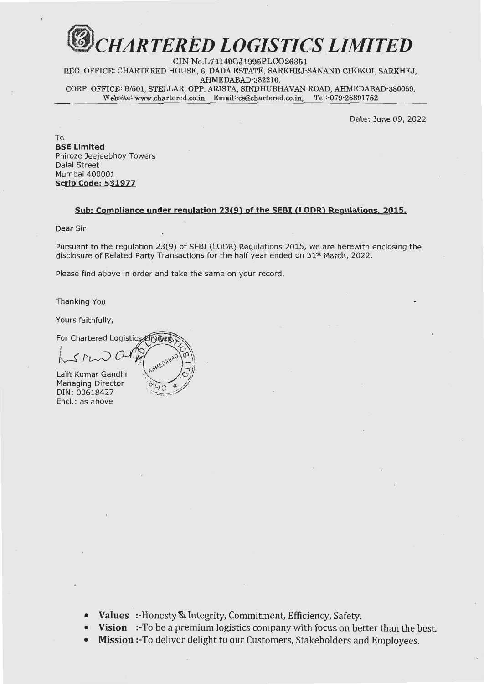## *fJJ cHARTERED LOGISTICS LIMITED*

CIN No.L74140GJ1995PLC026351 REG. OFFICE: CHARTERED HOUSE, 6, DADA ESTATE, SARKHEJ-SANAND CHOKDI, SARKHEJ, AHMEDABAD-382210. CORP. OFFICE: B/501, STELLAR, OPP. ARISTA, SINDHUBHAVAN ROAD, AHMEDABAD-380059.  ${\bf Website: {\bf www.chartered.co.in}\quad Email:cs@charactered.co.in,\quad Tel: 079-26891752}$ 

Date: June 09, 2022

To **BSE Limited**  Phiroze Jeejeebhoy Towers Dalal Street Mumbai 400001 **Scrip Code: 531977** 

## **Sub: Compliance under regulation 23(9) of the SEBI CLODR) Regulations, 2015.**

Dear Sir

Pursuant to the regulation 23(9) of SEBI (LODR) Regulations 2015, we are herewith enclosing the disclosure of Related Party Transactions for the half year ended on 31<sup>st</sup> March, 2022.

Please find above in order and take the same on your record.

Thanking You

Yours faithfully,

For Chartered Logistics Emited

I /Jf>~

Lalit Kumar Gandhi Managing Director DIN: 00618427 Encl.: as above

• **Values** :-Honesty & Integrity, Commitment, Efficiency, Safety.

**Vision** :-To be a premium logistics company with focus on better than the best.

• **Mission** :-To deliver delight to our Customers, Stakeholders and Employees.